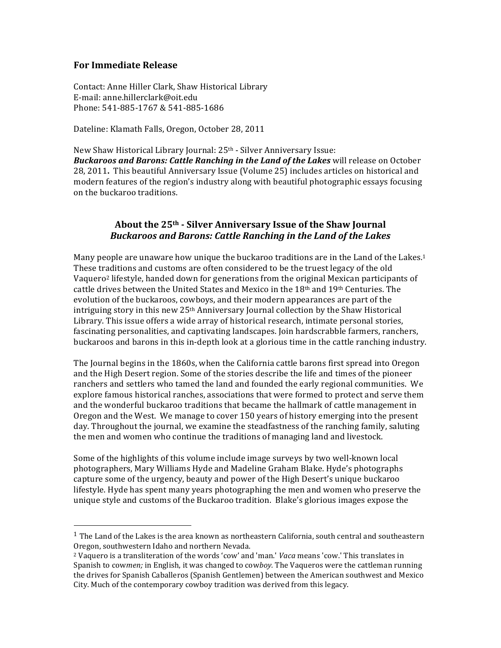## **For\$Immediate\$Release**

!!!!!!!!!!!!!!!!!!!!!!!!!!!!!!!!!!!!!!!!!!!!!!!!!!!!!!!

Contact: Anne Hiller Clark, Shaw Historical Library E-mail: anne.hillerclark@oit.edu Phone: 541-885-1767 & 541-885-1686

Dateline: Klamath Falls, Oregon, October 28, 2011

New Shaw Historical Library Journal: 25<sup>th</sup> - Silver Anniversary Issue: **Buckaroos and Barons: Cattle Ranching in the Land of the Lakes** will release on October 28, 2011. This beautiful Anniversary Issue (Volume 25) includes articles on historical and modern features of the region's industry along with beautiful photographic essays focusing on the buckaroo traditions.

## About the 25<sup>th</sup> **6 Silver Anniversary Issue of the Shaw Journal** *Buckaroos)and)Barons:)Cattle)Ranching)in)the)Land)of)the)Lakes*

Many people are unaware how unique the buckaroo traditions are in the Land of the Lakes.<sup>1</sup> These traditions and customs are often considered to be the truest legacy of the old Vaquero<sup>2</sup> lifestyle, handed down for generations from the original Mexican participants of cattle drives between the United States and Mexico in the  $18<sup>th</sup>$  and  $19<sup>th</sup>$  Centuries. The evolution of the buckaroos, cowboys, and their modern appearances are part of the intriguing story in this new 25<sup>th</sup> Anniversary Journal collection by the Shaw Historical Library. This issue offers a wide array of historical research, intimate personal stories, fascinating personalities, and captivating landscapes. Join hardscrabble farmers, ranchers, buckaroos and barons in this in-depth look at a glorious time in the cattle ranching industry.

The Journal begins in the 1860s, when the California cattle barons first spread into Oregon and the High Desert region. Some of the stories describe the life and times of the pioneer ranchers and settlers who tamed the land and founded the early regional communities. We explore famous historical ranches, associations that were formed to protect and serve them and the wonderful buckaroo traditions that became the hallmark of cattle management in Oregon and the West. We manage to cover 150 years of history emerging into the present day. Throughout the journal, we examine the steadfastness of the ranching family, saluting the men and women who continue the traditions of managing land and livestock.

Some of the highlights of this volume include image surveys by two well-known local photographers, Mary Williams Hyde and Madeline Graham Blake. Hyde's photographs capture some of the urgency, beauty and power of the High Desert's unique buckaroo lifestyle. Hyde has spent many years photographing the men and women who preserve the unique style and customs of the Buckaroo tradition. Blake's glorious images expose the

<sup>&</sup>lt;sup>1</sup> The Land of the Lakes is the area known as northeastern California, south central and southeastern Oregon, southwestern Idaho and northern Nevada.

<sup>&</sup>lt;sup>2</sup> Vaquero is a transliteration of the words 'cow' and 'man.' *Vaca* means 'cow.' This translates in Spanish to cowmen; in English, it was changed to cowboy. The Vaqueros were the cattleman running the drives for Spanish Caballeros (Spanish Gentlemen) between the American southwest and Mexico City. Much of the contemporary cowboy tradition was derived from this legacy.